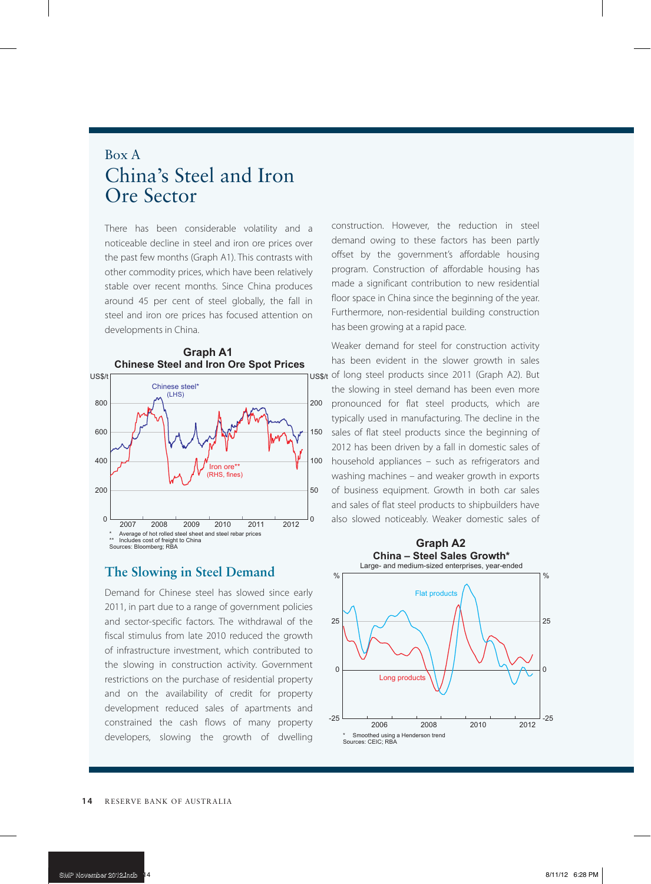## Box A China's Steel and Iron Ore Sector

There has been considerable volatility and a noticeable decline in steel and iron ore prices over the past few months (Graph A1). This contrasts with other commodity prices, which have been relatively stable over recent months. Since China produces around 45 per cent of steel globally, the fall in steel and iron ore prices has focused attention on developments in China.



**Graph A1 Chinese Steel and Iron Ore Spot Prices**

## **The Slowing in Steel Demand**

Demand for Chinese steel has slowed since early 2011, in part due to a range of government policies and sector-specific factors. The withdrawal of the fiscal stimulus from late 2010 reduced the growth of infrastructure investment, which contributed to the slowing in construction activity. Government restrictions on the purchase of residential property and on the availability of credit for property development reduced sales of apartments and constrained the cash flows of many property developers, slowing the growth of dwelling

construction. However, the reduction in steel demand owing to these factors has been partly offset by the government's affordable housing program. Construction of affordable housing has made a significant contribution to new residential floor space in China since the beginning of the year. Furthermore, non-residential building construction has been growing at a rapid pace.

US\$/t of long steel products since 2011 (Graph A2). But Weaker demand for steel for construction activity has been evident in the slower growth in sales the slowing in steel demand has been even more pronounced for flat steel products, which are typically used in manufacturing. The decline in the sales of flat steel products since the beginning of 2012 has been driven by a fall in domestic sales of household appliances – such as refrigerators and washing machines – and weaker growth in exports of business equipment. Growth in both car sales and sales of flat steel products to shipbuilders have also slowed noticeably. Weaker domestic sales of

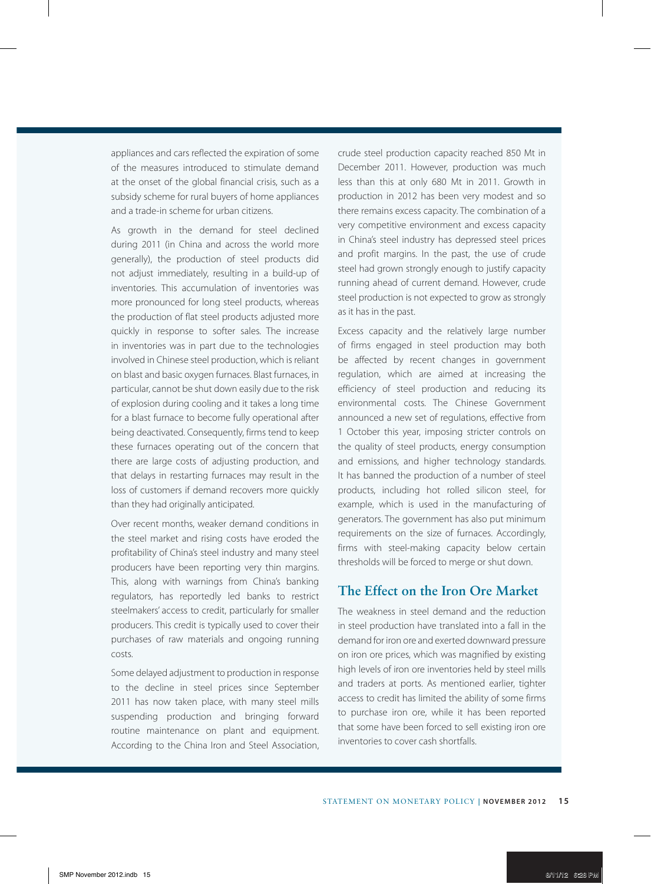appliances and cars reflected the expiration of some of the measures introduced to stimulate demand at the onset of the global financial crisis, such as a subsidy scheme for rural buyers of home appliances and a trade-in scheme for urban citizens.

As growth in the demand for steel declined during 2011 (in China and across the world more generally), the production of steel products did not adjust immediately, resulting in a build-up of inventories. This accumulation of inventories was more pronounced for long steel products, whereas the production of flat steel products adjusted more quickly in response to softer sales. The increase in inventories was in part due to the technologies involved in Chinese steel production, which is reliant on blast and basic oxygen furnaces. Blast furnaces, in particular, cannot be shut down easily due to the risk of explosion during cooling and it takes a long time for a blast furnace to become fully operational after being deactivated. Consequently, firms tend to keep these furnaces operating out of the concern that there are large costs of adjusting production, and that delays in restarting furnaces may result in the loss of customers if demand recovers more quickly than they had originally anticipated.

Over recent months, weaker demand conditions in the steel market and rising costs have eroded the profitability of China's steel industry and many steel producers have been reporting very thin margins. This, along with warnings from China's banking regulators, has reportedly led banks to restrict steelmakers' access to credit, particularly for smaller producers. This credit is typically used to cover their purchases of raw materials and ongoing running costs.

Some delayed adjustment to production in response to the decline in steel prices since September 2011 has now taken place, with many steel mills suspending production and bringing forward routine maintenance on plant and equipment. According to the China Iron and Steel Association, crude steel production capacity reached 850 Mt in December 2011. However, production was much less than this at only 680 Mt in 2011. Growth in production in 2012 has been very modest and so there remains excess capacity. The combination of a very competitive environment and excess capacity in China's steel industry has depressed steel prices and profit margins. In the past, the use of crude steel had grown strongly enough to justify capacity running ahead of current demand. However, crude steel production is not expected to grow as strongly as it has in the past.

Excess capacity and the relatively large number of firms engaged in steel production may both be affected by recent changes in government regulation, which are aimed at increasing the efficiency of steel production and reducing its environmental costs. The Chinese Government announced a new set of regulations, effective from 1 October this year, imposing stricter controls on the quality of steel products, energy consumption and emissions, and higher technology standards. It has banned the production of a number of steel products, including hot rolled silicon steel, for example, which is used in the manufacturing of generators. The government has also put minimum requirements on the size of furnaces. Accordingly, firms with steel-making capacity below certain thresholds will be forced to merge or shut down.

## **The Effect on the Iron Ore Market**

The weakness in steel demand and the reduction in steel production have translated into a fall in the demand for iron ore and exerted downward pressure on iron ore prices, which was magnified by existing high levels of iron ore inventories held by steel mills and traders at ports. As mentioned earlier, tighter access to credit has limited the ability of some firms to purchase iron ore, while it has been reported that some have been forced to sell existing iron ore inventories to cover cash shortfalls.